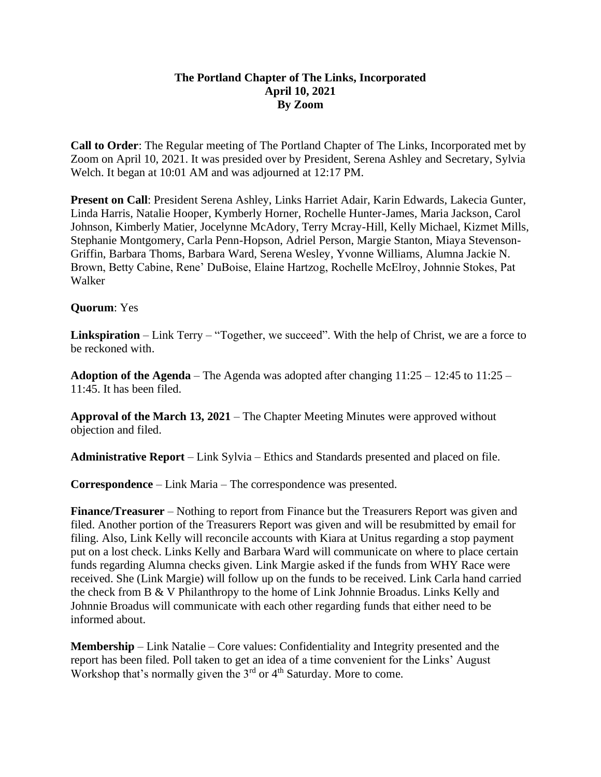## **The Portland Chapter of The Links, Incorporated April 10, 2021 By Zoom**

**Call to Order**: The Regular meeting of The Portland Chapter of The Links, Incorporated met by Zoom on April 10, 2021. It was presided over by President, Serena Ashley and Secretary, Sylvia Welch. It began at 10:01 AM and was adjourned at 12:17 PM.

**Present on Call**: President Serena Ashley, Links Harriet Adair, Karin Edwards, Lakecia Gunter, Linda Harris, Natalie Hooper, Kymberly Horner, Rochelle Hunter-James, Maria Jackson, Carol Johnson, Kimberly Matier, Jocelynne McAdory, Terry Mcray-Hill, Kelly Michael, Kizmet Mills, Stephanie Montgomery, Carla Penn-Hopson, Adriel Person, Margie Stanton, Miaya Stevenson-Griffin, Barbara Thoms, Barbara Ward, Serena Wesley, Yvonne Williams, Alumna Jackie N. Brown, Betty Cabine, Rene' DuBoise, Elaine Hartzog, Rochelle McElroy, Johnnie Stokes, Pat Walker

## **Quorum**: Yes

**Linkspiration** – Link Terry – "Together, we succeed". With the help of Christ, we are a force to be reckoned with.

**Adoption of the Agenda** – The Agenda was adopted after changing  $11:25 - 12:45$  to  $11:25 -$ 11:45. It has been filed.

**Approval of the March 13, 2021** – The Chapter Meeting Minutes were approved without objection and filed.

**Administrative Report** – Link Sylvia – Ethics and Standards presented and placed on file.

**Correspondence** – Link Maria – The correspondence was presented.

**Finance/Treasurer** – Nothing to report from Finance but the Treasurers Report was given and filed. Another portion of the Treasurers Report was given and will be resubmitted by email for filing. Also, Link Kelly will reconcile accounts with Kiara at Unitus regarding a stop payment put on a lost check. Links Kelly and Barbara Ward will communicate on where to place certain funds regarding Alumna checks given. Link Margie asked if the funds from WHY Race were received. She (Link Margie) will follow up on the funds to be received. Link Carla hand carried the check from B & V Philanthropy to the home of Link Johnnie Broadus. Links Kelly and Johnnie Broadus will communicate with each other regarding funds that either need to be informed about.

**Membership** – Link Natalie – Core values: Confidentiality and Integrity presented and the report has been filed. Poll taken to get an idea of a time convenient for the Links' August Workshop that's normally given the  $3<sup>rd</sup>$  or  $4<sup>th</sup>$  Saturday. More to come.